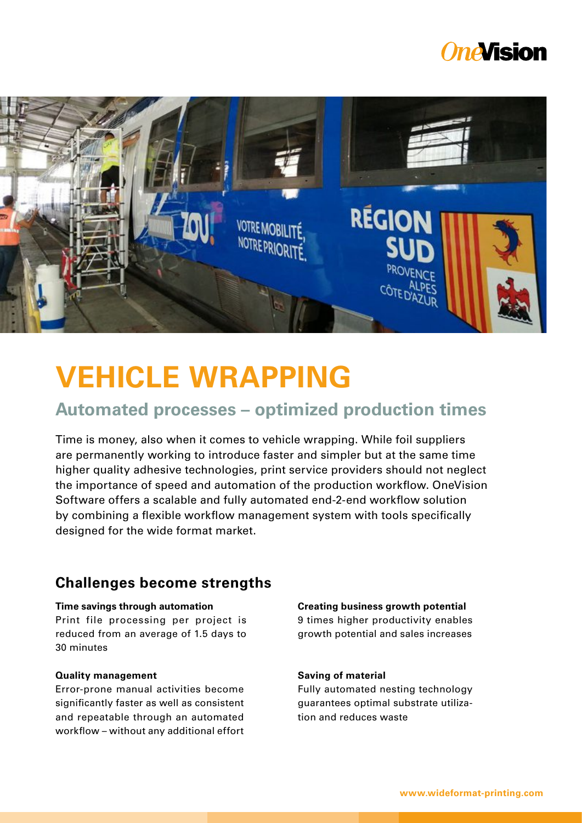## *OneVision*



# **VEHICLE WRAPPING**

## **Automated processes – optimized production times**

Time is money, also when it comes to vehicle wrapping. While foil suppliers are permanently working to introduce faster and simpler but at the same time higher quality adhesive technologies, print service providers should not neglect the importance of speed and automation of the production workflow. OneVision Software offers a scalable and fully automated end-2-end workflow solution by combining a flexible workflow management system with tools specifically designed for the wide format market.

## **Challenges become strengths**

## **Time savings through automation**

Print file processing per project is reduced from an average of 1.5 days to 30 minutes

## **Quality management**

Error-prone manual activities become significantly faster as well as consistent and repeatable through an automated workflow – without any additional effort

#### **Creating business growth potential**

9 times higher productivity enables growth potential and sales increases

## **Saving of material**

Fully automated nesting technology guarantees optimal substrate utilization and reduces waste